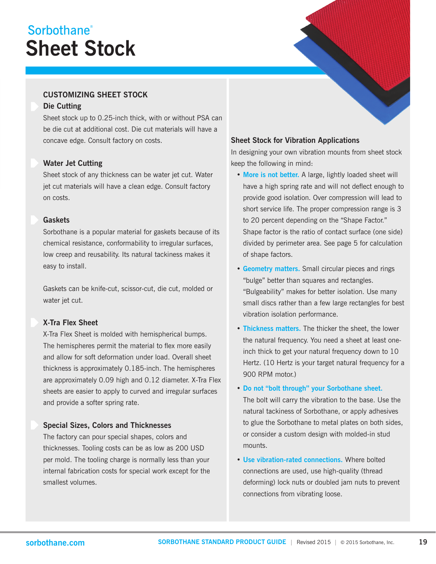## **Sheet Stock** Sorbothane<sup>®</sup>

### **CUSTOMIZING SHEET STOCK**

#### **Die Cutting**

Sheet stock up to 0.25-inch thick, with or without PSA can be die cut at additional cost. Die cut materials will have a concave edge. Consult factory on costs.

#### **Water Jet Cutting**

Sheet stock of any thickness can be water jet cut. Water jet cut materials will have a clean edge. Consult factory on costs.

#### **Gaskets**

Sorbothane is a popular material for gaskets because of its chemical resistance, conformability to irregular surfaces, low creep and reusability. Its natural tackiness makes it easy to install.

Gaskets can be knife-cut, scissor-cut, die cut, molded or water jet cut.

### **X-Tra Flex Sheet**

X-Tra Flex Sheet is molded with hemispherical bumps. The hemispheres permit the material to flex more easily and allow for soft deformation under load. Overall sheet thickness is approximately 0.185-inch. The hemispheres are approximately 0.09 high and 0.12 diameter. X-Tra Flex sheets are easier to apply to curved and irregular surfaces and provide a softer spring rate.

#### **Special Sizes, Colors and Thicknesses**

The factory can pour special shapes, colors and thicknesses. Tooling costs can be as low as 200 USD per mold. The tooling charge is normally less than your internal fabrication costs for special work except for the smallest volumes.

#### **Sheet Stock for Vibration Applications**

In designing your own vibration mounts from sheet stock keep the following in mind:

- **More is not better.** A large, lightly loaded sheet will have a high spring rate and will not deflect enough to provide good isolation. Over compression will lead to short service life. The proper compression range is 3 to 20 percent depending on the "Shape Factor." Shape factor is the ratio of contact surface (one side) divided by perimeter area. See page 5 for calculation of shape factors.
- **Geometry matters.** Small circular pieces and rings "bulge" better than squares and rectangles. "Bulgeability" makes for better isolation. Use many small discs rather than a few large rectangles for best vibration isolation performance.
- **Thickness matters.** The thicker the sheet, the lower the natural frequency. You need a sheet at least one inch thick to get your natural frequency down to 10 Hertz. (10 Hertz is your target natural frequency for a 900 RPM motor.)
- **Do not "bolt through" your Sorbothane sheet.** The bolt will carry the vibration to the base. Use the natural tackiness of Sorbothane, or apply adhesives to glue the Sorbothane to metal plates on both sides, or consider a custom design with molded-in stud mounts.
- **Use vibration-rated connections.** Where bolted connections are used, use high-quality (thread deforming) lock nuts or doubled jam nuts to prevent connections from vibrating loose.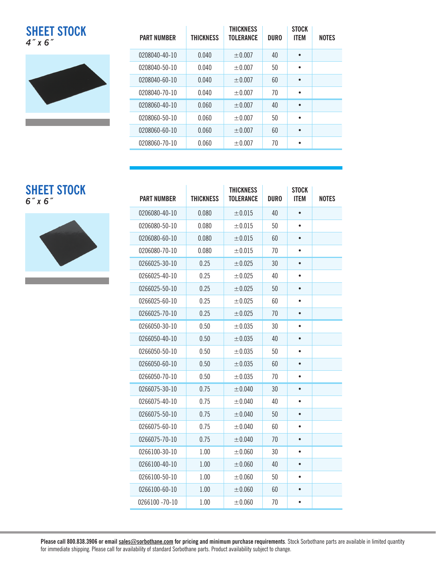**SHEET STOCK** *4˝ x 6˝*



| <b>PART NUMBER</b> | <b>THICKNESS</b> | <b>THICKNESS</b><br><b>TOLERANCE</b> | <b>DURO</b> | <b>STOCK</b><br><b>ITEM</b> | <b>NOTES</b> |
|--------------------|------------------|--------------------------------------|-------------|-----------------------------|--------------|
| 0208040-40-10      | 0.040            | $\pm 0.007$                          | 40          | $\bullet$                   |              |
| 0208040-50-10      | 0.040            | $\pm 0.007$                          | 50          | $\bullet$                   |              |
| 0208040-60-10      | 0.040            | $\pm 0.007$                          | 60          | $\bullet$                   |              |
| 0208040-70-10      | 0.040            | $\pm 0.007$                          | 70          | $\bullet$                   |              |
| 0208060-40-10      | 0.060            | ±0.007                               | 40          | $\bullet$                   |              |
| 0208060-50-10      | 0.060            | $+0.007$                             | 50          | $\bullet$                   |              |
| 0208060-60-10      | 0.060            | $\pm 0.007$                          | 60          | $\bullet$                   |              |
| 0208060-70-10      | 0.060            | $\pm 0.007$                          | 70          | ٠                           |              |

### **SHEET STOCK** *6˝ x 6˝*



| <b>PART NUMBER</b> | <b>THICKNESS</b> | <b>THICKNESS</b><br><b>TOLERANCE</b> | <b>DURO</b> | <b>STOCK</b><br><b>ITEM</b> | <b>NOTES</b> |
|--------------------|------------------|--------------------------------------|-------------|-----------------------------|--------------|
| 0206080-40-10      | 0.080            | $\pm 0.015$                          | 40          |                             |              |
| 0206080-50-10      | 0.080            | $\pm 0.015$                          | 50          |                             |              |
| 0206080-60-10      | 0.080            | ± 0.015                              | 60          |                             |              |
| 0206080-70-10      | 0.080            | $\pm 0.015$                          | 70          |                             |              |
| 0266025-30-10      | 0.25             | ± 0.025                              | 30          | $\bullet$                   |              |
| 0266025-40-10      | 0.25             | ± 0.025                              | 40          |                             |              |
| 0266025-50-10      | 0.25             | ±0.025                               | 50          |                             |              |
| 0266025-60-10      | 0.25             | ± 0.025                              | 60          |                             |              |
| 0266025-70-10      | 0.25             | ±0.025                               | 70          |                             |              |
| 0266050-30-10      | 0.50             | ± 0.035                              | 30          | $\bullet$                   |              |
| 0266050-40-10      | 0.50             | ±0.035                               | 40          | $\bullet$                   |              |
| 0266050-50-10      | 0.50             | ± 0.035                              | 50          | $\bullet$                   |              |
| 0266050-60-10      | 0.50             | ±0.035                               | 60          |                             |              |
| 0266050-70-10      | 0.50             | $\pm 0.035$                          | 70          | $\bullet$                   |              |
| 0266075-30-10      | 0.75             | ± 0.040                              | 30          |                             |              |
| 0266075-40-10      | 0.75             | ±0.040                               | 40          | $\bullet$                   |              |
| 0266075-50-10      | 0.75             | ± 0.040                              | 50          |                             |              |
| 0266075-60-10      | 0.75             | ±0.040                               | 60          | $\bullet$                   |              |
| 0266075-70-10      | 0.75             | ± 0.040                              | 70          | $\bullet$                   |              |
| 0266100-30-10      | 1.00             | $\pm 0.060$                          | 30          | $\bullet$                   |              |
| 0266100-40-10      | 1.00             | ±0.060                               | 40          |                             |              |
| 0266100-50-10      | 1.00             | $\pm 0.060$                          | 50          |                             |              |
| 0266100-60-10      | 1.00             | $\pm 0.060$                          | 60          |                             |              |
| 0266100 -70-10     | 1.00             | $\pm 0.060$                          | 70          | $\bullet$                   |              |

**Please call 800.838.3906 or email sales@sorbothane.com for pricing and minimum purchase requirements**. Stock Sorbothane parts are available in limited quantity for immediate shipping. Please call for availability of standard Sorbothane parts. Product availability subject to change.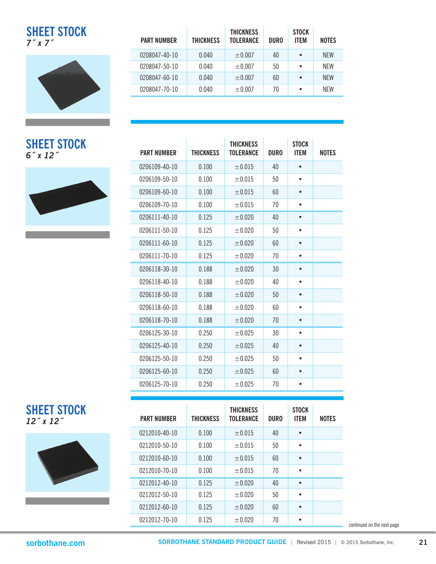**SHEET STOCK** *7˝ x 7˝*





| <b>PART NUMBER</b> | <b>THICKNESS</b> | <b>THICKNESS</b><br><b>TOLERANCE</b> | <b>DURO</b> | <b>STOCK</b><br><b>ITEM</b> | <b>NOTES</b> |
|--------------------|------------------|--------------------------------------|-------------|-----------------------------|--------------|
| 0208047-40-10      | 0.040            | $\pm 0.007$                          | 40          | $\bullet$                   | <b>NFW</b>   |
| 0208047-50-10      | 0.040            | $\pm 0.007$                          | 50          | $\bullet$                   | <b>NFW</b>   |
| 0208047-60-10      | 0.040            | $\pm 0.007$                          | 60          | $\bullet$                   | <b>NFW</b>   |
| 0208047-70-10      | 0.040            | $\pm 0.007$                          | 70          | $\bullet$                   | <b>NFW</b>   |

| <b>SHEET STOCK</b><br>$6$ " x 12" | <b>PART NUMBER</b> | <b>THICKNESS</b> | <b>THICKNESS</b><br><b>TOLERANCE</b> | <b>DURO</b> | <b>STOCK</b><br><b>ITEM</b> | <b>NOTES</b> |
|-----------------------------------|--------------------|------------------|--------------------------------------|-------------|-----------------------------|--------------|
|                                   | 0206109-40-10      | 0.100            | $\pm 0.015$                          | 40          | $\bullet$                   |              |
|                                   | 0206109-50-10      | 0.100            | $\pm 0.015$                          | 50          | $\bullet$                   |              |
|                                   | 0206109-60-10      | 0.100            | $\pm 0.015$                          | 60          | $\bullet$                   |              |
|                                   | 0206109-70-10      | 0.100            | ±0.015                               | 70          | $\bullet$                   |              |
|                                   | 0206111-40-10      | 0.125            | ±0.020                               | 40          | $\bullet$                   |              |
|                                   | 0206111-50-10      | 0.125            | $\pm 0.020$                          | 50          | $\bullet$                   |              |
|                                   | 0206111-60-10      | 0.125            | ±0.020                               | 60          | $\bullet$                   |              |
|                                   | 0206111-70-10      | 0.125            | ±0.020                               | 70          | $\bullet$                   |              |
|                                   | 0206118-30-10      | 0.188            | ± 0.020                              | 30          | $\bullet$                   |              |
|                                   | 0206118-40-10      | 0.188            | ± 0.020                              | 40          | $\bullet$                   |              |
|                                   | 0206118-50-10      | 0.188            | ±0.020                               | 50          | $\bullet$                   |              |
|                                   | 0206118-60-10      | 0.188            | ±0.020                               | 60          | $\bullet$                   |              |
|                                   | 0206118-70-10      | 0.188            | ±0.020                               | 70          | $\bullet$                   |              |
|                                   | 0206125-30-10      | 0.250            | ±0.025                               | 30          | $\bullet$                   |              |
|                                   | 0206125-40-10      | 0.250            | ±0.025                               | 40          | $\bullet$                   |              |
|                                   | 0206125-50-10      | 0.250            | ±0.025                               | 50          | $\bullet$                   |              |
|                                   | 0206125-60-10      | 0.250            | ± 0.025                              | 60          | $\bullet$                   |              |
|                                   | 0206125-70-10      | 0.250            | ±0.025                               | 70          | $\bullet$                   |              |

| <b>SHEET STOCK</b> |  |
|--------------------|--|
| 12" x 12"          |  |



| <b>PART NUMBER</b> | THICKNESS | <b>THICKNESS</b><br><b>TOLERANCE</b> | <b>DURO</b> | <b>STOCK</b><br><b>ITEM</b> | <b>NOTES</b> |
|--------------------|-----------|--------------------------------------|-------------|-----------------------------|--------------|
| 0212010-40-10      | 0.100     | ±0.015                               | 40          | $\bullet$                   |              |
| 0212010-50-10      | 0.100     | ±0.015                               | 50          | ٠                           |              |
| 0212010-60-10      | 0.100     | ±0.015                               | 60          | $\bullet$                   |              |
| 0212010-70-10      | 0.100     | ±0.015                               | 70          | ٠                           |              |
| 0212012-40-10      | 0.125     | ±0.020                               | 40          | $\bullet$                   |              |
| 0212012-50-10      | 0.125     | $+0.020$                             | 50          | ٠                           |              |
| 0212012-60-10      | 0.125     | ±0.020                               | 60          | $\bullet$                   |              |
| 0212012-70-10      | 0.125     | ±0.020                               | 70          | ٠                           |              |

continued on the next page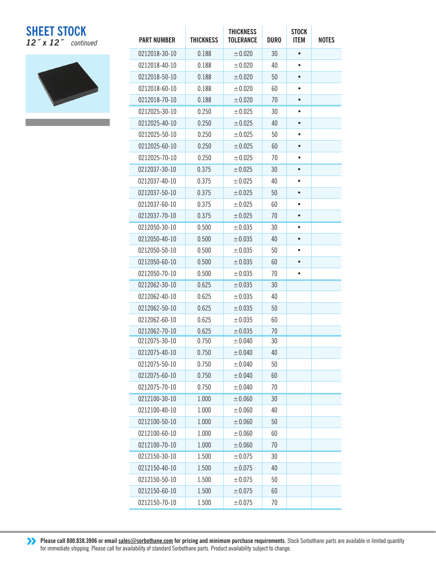## **SHEET STOCK** *12˝ x 12˝ continued*



| <b>PART NUMBER</b> | <b>THICKNESS</b> | <b>THICKNESS</b><br><b>TOLERANCE</b> | <b>DURO</b> | <b>STOCK</b><br><b>ITEM</b> | <b>NOTES</b> |
|--------------------|------------------|--------------------------------------|-------------|-----------------------------|--------------|
| 0212018-30-10      | 0.188            | ±0.020                               | 30          | $\bullet$                   |              |
| 0212018-40-10      | 0.188            | ±0.020                               | 40          | $\bullet$                   |              |
| 0212018-50-10      | 0.188            | ±0.020                               | 50          |                             |              |
| 0212018-60-10      | 0.188            | ±0.020                               | 60          | $\bullet$                   |              |
| 0212018-70-10      | 0.188            | ±0.020                               | 70          | $\bullet$                   |              |
| 0212025-30-10      | 0.250            | ±0.025                               | 30          |                             |              |
| 0212025-40-10      | 0.250            | ± 0.025                              | 40          |                             |              |
| 0212025-50-10      | 0.250            | ±0.025                               | 50          | $\bullet$                   |              |
| 0212025-60-10      | 0.250            | ±0.025                               | 60          |                             |              |
| 0212025-70-10      | 0.250            | ± 0.025                              | 70          | $\bullet$                   |              |
| 0212037-30-10      | 0.375            | ±0.025                               | 30          | $\bullet$                   |              |
| 0212037-40-10      | 0.375            | ±0.025                               | 40          |                             |              |
| 0212037-50-10      | 0.375            | ±0.025                               | 50          |                             |              |
| 0212037-60-10      | 0.375            | ±0.025                               | 60          | $\bullet$                   |              |
| 0212037-70-10      | 0.375            | ± 0.025                              | 70          | $\bullet$                   |              |
| 0212050-30-10      | 0.500            | ±0.035                               | 30          | $\bullet$                   |              |
| 0212050-40-10      | 0.500            | ±0.035                               | 40          |                             |              |
| 0212050-50-10      | 0.500            | ±0.035                               | 50          | $\bullet$                   |              |
| 0212050-60-10      | 0.500            | ± 0.035                              | 60          |                             |              |
| 0212050-70-10      | 0.500            | $\pm 0.035$                          | 70          | $\bullet$                   |              |
| 0212062-30-10      | 0.625            | ±0.035                               | 30          |                             |              |
| 0212062-40-10      | 0.625            | $\pm 0.035$                          | 40          |                             |              |
| 0212062-50-10      | 0.625            | ±0.035                               | 50          |                             |              |
| 0212062-60-10      | 0.625            | $\pm 0.035$                          | 60          |                             |              |
| 0212062-70-10      | 0.625            | ± 0.035                              | 70          |                             |              |
| 0212075-30-10      | 0.750            | ±0.040                               | 30          |                             |              |
| 0212075-40-10      | 0.750            | $\pm 0.040$                          | 40          |                             |              |
| 0212075-50-10      | 0.750            | $\pm 0.040$                          | 50          |                             |              |
| 0212075-60-10      | 0.750            | ±0.040                               | 60          |                             |              |
| 0212075-70-10      | 0.750            | ±0.040                               | 70          |                             |              |
| 0212100-30-10      | 1.000            | ±0.060                               | 30          |                             |              |
| 0212100-40-10      | 1.000            | $\pm 0.060$                          | 40          |                             |              |
| 0212100-50-10      | 1.000            | ±0.060                               | 50          |                             |              |
| 0212100-60-10      | 1.000            | ±0.060                               | 60          |                             |              |
| 0212100-70-10      | 1.000            | ±0.060                               | 70          |                             |              |
| 0212150-30-10      | 1.500            | ±0.075                               | 30          |                             |              |
| 0212150-40-10      | 1.500            | ±0.075                               | 40          |                             |              |
| 0212150-50-10      | 1.500            | ±0.075                               | 50          |                             |              |
| 0212150-60-10      | 1.500            | ±0.075                               | 60          |                             |              |
| 0212150-70-10      | 1.500            | ±0.075                               | 70          |                             |              |

**Please call 800.838.3906 or email sales@sorbothane.com for pricing and minimum purchase requirements. Stock Sorbothane parts are available in limited quantity** for immediate shipping. Please call for availability of standard Sorbothane parts. Product availability subject to change.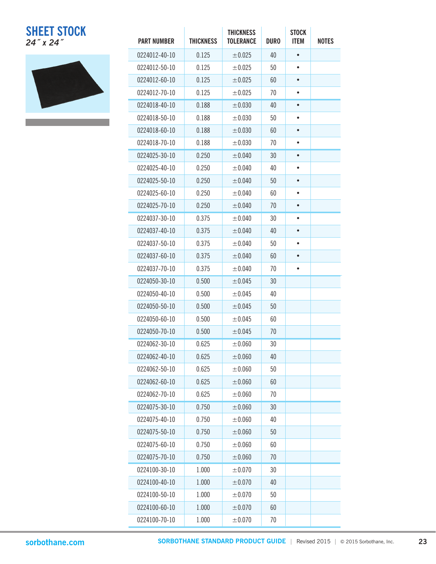## **SHEET STOCK** *24˝ x 24˝* **PART NUMBER THICKNESS**



| <b>PART NUMBER</b> | <b>THICKNESS</b> | <b>THICKNESS</b><br><b>TOLERANCE</b> | <b>DURO</b> | <b>STOCK</b><br><b>ITEM</b> | <b>NOTES</b> |
|--------------------|------------------|--------------------------------------|-------------|-----------------------------|--------------|
| 0224012-40-10      | 0.125            | ± 0.025                              | 40          |                             |              |
| 0224012-50-10      | 0.125            | ±0.025                               | 50          | ٠                           |              |
| 0224012-60-10      | 0.125            | ±0.025                               | 60          |                             |              |
| 0224012-70-10      | 0.125            | ±0.025                               | 70          | $\bullet$                   |              |
| 0224018-40-10      | 0.188            | ±0.030                               | 40          | $\bullet$                   |              |
| 0224018-50-10      | 0.188            | $\pm 0.030$                          | 50          | $\bullet$                   |              |
| 0224018-60-10      | 0.188            | ±0.030                               | 60          |                             |              |
| 0224018-70-10      | 0.188            | $\pm 0.030$                          | 70          |                             |              |
| 0224025-30-10      | 0.250            | ±0.040                               | 30          | $\bullet$                   |              |
| 0224025-40-10      | 0.250            | ±0.040                               | 40          | $\bullet$                   |              |
| 0224025-50-10      | 0.250            | ±0.040                               | 50          |                             |              |
| 0224025-60-10      | 0.250            | ±0.040                               | 60          | $\bullet$                   |              |
| 0224025-70-10      | 0.250            | ±0.040                               | 70          | $\bullet$                   |              |
| 0224037-30-10      | 0.375            | ±0.040                               | 30          | $\bullet$                   |              |
| 0224037-40-10      |                  |                                      | 40          | $\bullet$                   |              |
|                    | 0.375            | ±0.040                               |             |                             |              |
| 0224037-50-10      | 0.375            | $\pm 0.040$                          | 50          | $\bullet$                   |              |
| 0224037-60-10      | 0.375            | $\pm 0.040$                          | 60          |                             |              |
| 0224037-70-10      | 0.375            | $\pm 0.040$                          | 70          | ٠                           |              |
| 0224050-30-10      | 0.500            | ± 0.045                              | 30          |                             |              |
| 0224050-40-10      | 0.500            | $\pm 0.045$                          | 40          |                             |              |
| 0224050-50-10      | 0.500            | ±0.045                               | 50          |                             |              |
| 0224050-60-10      | 0.500            | ±0.045                               | 60          |                             |              |
| 0224050-70-10      | 0.500            | ± 0.045                              | 70          |                             |              |
| 0224062-30-10      | 0.625            | $\pm 0.060$                          | 30          |                             |              |
| 0224062-40-10      | 0.625            | ±0.060                               | 40          |                             |              |
| 0224062-50-10      | 0.625            | ±0.060                               | 50          |                             |              |
| 0224062-60-10      | 0.625            | ±0.060                               | 60          |                             |              |
| 0224062-70-10      | 0.625            | ±0.060                               | 70          |                             |              |
| 0224075-30-10      | 0.750            | ±0.060                               | 30          |                             |              |
| 0224075-40-10      | 0.750            | $\pm 0.060$                          | 40          |                             |              |
| 0224075-50-10      | 0.750            | ±0.060                               | 50          |                             |              |
| 0224075-60-10      | 0.750            | ±0.060                               | 60          |                             |              |
| 0224075-70-10      | 0.750            | ±0.060                               | 70          |                             |              |
| 0224100-30-10      | 1.000            | ±0.070                               | 30          |                             |              |
| 0224100-40-10      | 1.000            | ±0.070                               | 40          |                             |              |
| 0224100-50-10      | 1.000            | ±0.070                               | 50          |                             |              |
| 0224100-60-10      | 1.000            | ±0.070                               | 60          |                             |              |
| 0224100-70-10      | 1.000            | ±0.070                               | 70          |                             |              |

the control of the control of the control of the control of the control of the control of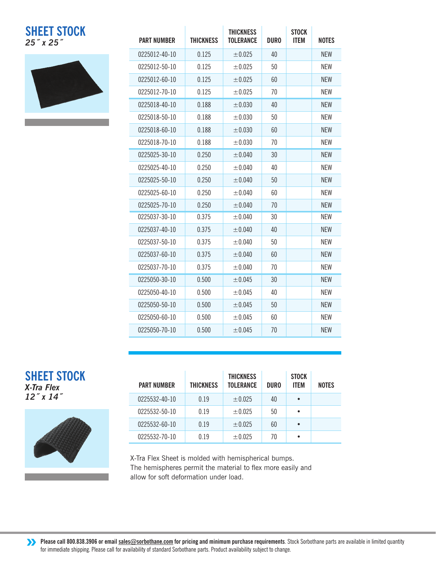## **SHEET STOCK** *25˝ x 25˝*



| <b>PART NUMBER</b> | <b>THICKNESS</b> | <b>THICKNESS</b><br><b>TOLERANCE</b> | <b>DURO</b> | <b>STOCK</b><br><b>ITEM</b> | <b>NOTES</b> |
|--------------------|------------------|--------------------------------------|-------------|-----------------------------|--------------|
| 0225012-40-10      | 0.125            | ± 0.025                              | 40          |                             | <b>NFW</b>   |
| 0225012-50-10      | 0.125            | ± 0.025                              | 50          |                             | <b>NEW</b>   |
| 0225012-60-10      | 0.125            | ± 0.025                              | 60          |                             | <b>NEW</b>   |
| 0225012-70-10      | 0.125            | ± 0.025                              | 70          |                             | <b>NEW</b>   |
| 0225018-40-10      | 0.188            | ±0.030                               | 40          |                             | <b>NFW</b>   |
| 0225018-50-10      | 0.188            | ± 0.030                              | 50          |                             | <b>NEW</b>   |
| 0225018-60-10      | 0.188            | ±0.030                               | 60          |                             | <b>NFW</b>   |
| 0225018-70-10      | 0.188            | ±0.030                               | 70          |                             | <b>NEW</b>   |
| 0225025-30-10      | 0.250            | ±0.040                               | 30          |                             | <b>NEW</b>   |
| 0225025-40-10      | 0.250            | ± 0.040                              | 40          |                             | <b>NEW</b>   |
| 0225025-50-10      | 0.250            | ± 0.040                              | 50          |                             | <b>NEW</b>   |
| 0225025-60-10      | 0.250            | ± 0.040                              | 60          |                             | <b>NEW</b>   |
| 0225025-70-10      | 0.250            | ± 0.040                              | 70          |                             | <b>NEW</b>   |
| 0225037-30-10      | 0.375            | ±0.040                               | 30          |                             | <b>NEW</b>   |
| 0225037-40-10      | 0.375            | ± 0.040                              | 40          |                             | <b>NFW</b>   |
| 0225037-50-10      | 0.375            | ±0.040                               | 50          |                             | <b>NEW</b>   |
| 0225037-60-10      | 0.375            | ± 0.040                              | 60          |                             | <b>NFW</b>   |
| 0225037-70-10      | 0.375            | $\pm 0.040$                          | 70          |                             | <b>NEW</b>   |
| 0225050-30-10      | 0.500            | ±0.045                               | 30          |                             | <b>NEW</b>   |
| 0225050-40-10      | 0.500            | ±0.045                               | 40          |                             | <b>NEW</b>   |
| 0225050-50-10      | 0.500            | ±0.045                               | 50          |                             | <b>NEW</b>   |
| 0225050-60-10      | 0.500            | ± 0.045                              | 60          |                             | <b>NEW</b>   |
| 0225050-70-10      | 0.500            | ± 0.045                              | 70          |                             | <b>NEW</b>   |

## **SHEET STOCK**

*X-Tra Flex 12˝ x 14˝*



| <b>PART NUMBER</b> | <b>THICKNESS</b> | <b>THICKNESS</b><br><b>TOLERANCE</b> | <b>DURO</b> | <b>STOCK</b><br><b>ITEM</b> | <b>NOTES</b> |
|--------------------|------------------|--------------------------------------|-------------|-----------------------------|--------------|
| 0225532-40-10      | 0.19             | ± 0.025                              | 40          | $\bullet$                   |              |
| 0225532-50-10      | 0.19             | ± 0.025                              | 50          | $\bullet$                   |              |
| 0225532-60-10      | 0.19             | ± 0.025                              | 60          | $\bullet$                   |              |
| 0225532-70-10      | 0.19             | ± 0.025                              | 70          | $\bullet$                   |              |

X-Tra Flex Sheet is molded with hemispherical bumps. The hemispheres permit the material to flex more easily and allow for soft deformation under load.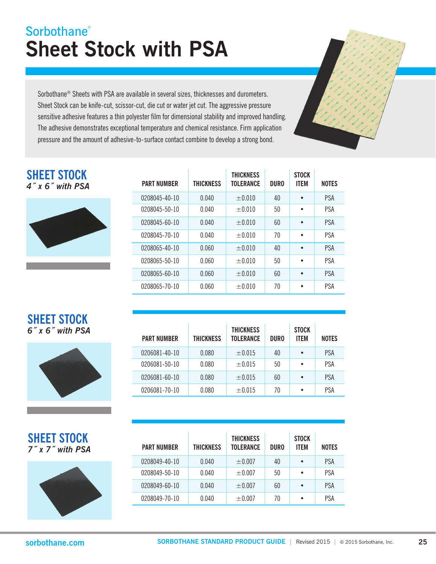## **Sheet Stock with PSA Sorbothane®**

Sorbothane® Sheets with PSA are available in several sizes, thicknesses and durometers. Sheet Stock can be knife-cut, scissor-cut, die cut or water jet cut. The aggressive pressure sensitive adhesive features a thin polyester film for dimensional stability and improved handling. The adhesive demonstrates exceptional temperature and chemical resistance. Firm application pressure and the amount of adhesive-to-surface contact combine to develop a strong bond.

| <b>SHEET STOCK</b> |  |                     |
|--------------------|--|---------------------|
|                    |  | $4''$ x 6" with PSA |



| <b>PART NUMBER</b> | THICKNESS | <b>THICKNESS</b><br><b>TOLERANCE</b> | <b>DURO</b> | <b>STOCK</b><br><b>ITEM</b> | <b>NOTES</b> |
|--------------------|-----------|--------------------------------------|-------------|-----------------------------|--------------|
| 0208045-40-10      | 0.040     | $+0.010$                             | 40          | $\bullet$                   | <b>PSA</b>   |
| 0208045-50-10      | 0.040     | $+0.010$                             | 50          | $\bullet$                   | <b>PSA</b>   |
| 0208045-60-10      | 0.040     | $+0.010$                             | 60          | $\bullet$                   | <b>PSA</b>   |
| 0208045-70-10      | 0.040     | $+0.010$                             | 70          | $\bullet$                   | <b>PSA</b>   |
| 0208065-40-10      | 0.060     | $+0.010$                             | 40          | $\bullet$                   | <b>PSA</b>   |
| 0208065-50-10      | 0.060     | $+0.010$                             | 50          | $\bullet$                   | <b>PSA</b>   |
| 0208065-60-10      | 0.060     | $+0.010$                             | 60          | $\bullet$                   | <b>PSA</b>   |
| 0208065-70-10      | 0.060     | $+0.010$                             | 70          | $\bullet$                   | <b>PSA</b>   |

### **SHEET STOCK** *6˝ x 6˝ with PSA*



| <b>PART NUMBER</b> | <b>THICKNESS</b> | <b>THICKNESS</b><br><b>TOLERANCE</b> | <b>DURO</b> | <b>STOCK</b><br><b>ITEM</b> | <b>NOTES</b> |
|--------------------|------------------|--------------------------------------|-------------|-----------------------------|--------------|
| 0206081-40-10      | 0.080            | $\pm 0.015$                          | 40          | $\bullet$                   | PSA          |
| 0206081-50-10      | 0.080            | $\pm 0.015$                          | 50          | $\bullet$                   | <b>PSA</b>   |
| 0206081-60-10      | 0.080            | $\pm 0.015$                          | 60          | $\bullet$                   | <b>PSA</b>   |
| 0206081-70-10      | 0.080            | $\pm 0.015$                          | 70          | $\bullet$                   | <b>PSA</b>   |

|  | <b>SHEET STOCK</b> |                  |
|--|--------------------|------------------|
|  |                    | 7" x 7" with PSA |



| <b>PART NUMBER</b> | <b>THICKNESS</b> | <b>THICKNESS</b><br><b>TOLERANCE</b> | <b>DURO</b> | <b>STOCK</b><br><b>ITEM</b> | <b>NOTES</b> |
|--------------------|------------------|--------------------------------------|-------------|-----------------------------|--------------|
| 0208049-40-10      | 0.040            | $\pm 0.007$                          | 40          | $\bullet$                   | <b>PSA</b>   |
| 0208049-50-10      | 0.040            | $\pm 0.007$                          | 50          | $\bullet$                   | <b>PSA</b>   |
| 0208049-60-10      | 0.040            | $\pm 0.007$                          | 60          | $\bullet$                   | <b>PSA</b>   |
| 0208049-70-10      | 0.040            | ±0.007                               | 70          | $\bullet$                   | PSA          |